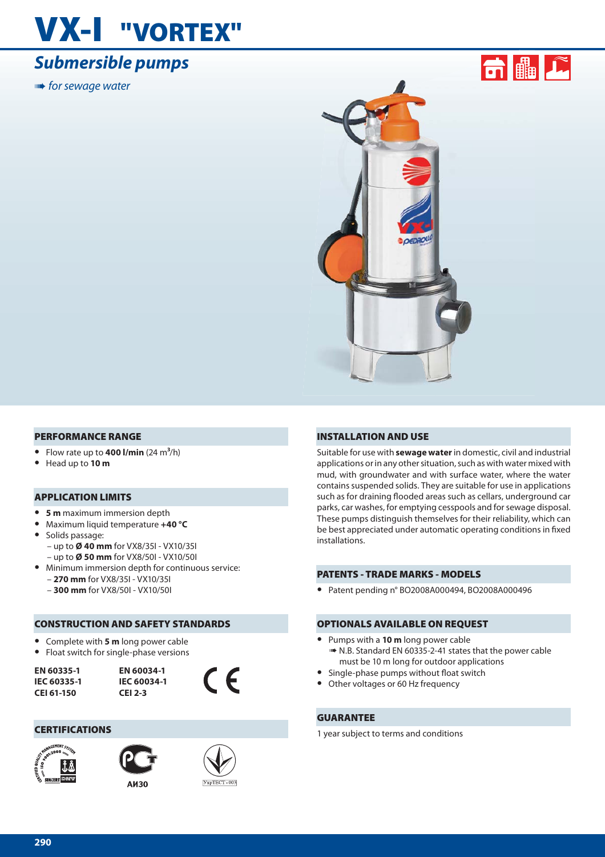## **VX-I "VORTEX"**

## *Submersible pumps*

**■ for sewage water** 





#### **PERFORMANCE RANGE**

- Flow rate up to  $400$  l/min  $(24 \text{ m}^3/\text{h})$
- **•** Head up to **10 m**

#### **APPLICATION LIMITS**

- **• 5 m** maximum immersion depth
- **•** Maximum liquid temperature **+40 °C**
- **•** Solids passage: – up to **Ø 40 mm** for VX8/35I - VX10/35I – up to **Ø 50 mm** for VX8/50I - VX10/50I
- **•** Minimum immersion depth for continuous service: – **270 mm** for VX8/35I - VX10/35I
	- **300 mm** for VX8/50I VX10/50I

#### **CONSTRUCTION AND SAFETY STANDARDS**

- **•** Complete with **5 m** long power cable
- **•** Float switch for single-phase versions

**EN 60335-1 IEC 60335-1 CEI 61-150**



#### **CERTIFICATIONS**







 $\epsilon$ 

#### **INSTALLATION AND USE**

Suitable for use with **sewage water** in domestic, civil and industrial applications or in any other situation, such as with water mixed with mud, with groundwater and with surface water, where the water contains suspended solids. They are suitable for use in applications such as for draining flooded areas such as cellars, underground car parks, car washes, for emptying cesspools and for sewage disposal. These pumps distinguish themselves for their reliability, which can be best appreciated under automatic operating conditions in fixed installations.

#### **PATENTS - TRADE MARKS - MODELS**

**•** Patent pending n° BO2008A000494, BO2008A000496

#### **OPTIONALS AVAILABLE ON REQUEST**

- **•** Pumps with a **10 m** long power cable ➠ N.B. Standard EN 60335-2-41 states that the power cable must be 10 m long for outdoor applications
- Single-phase pumps without float switch
- **•** Other voltages or 60 Hz frequency

#### **GUARANTEE**

1 year subject to terms and conditions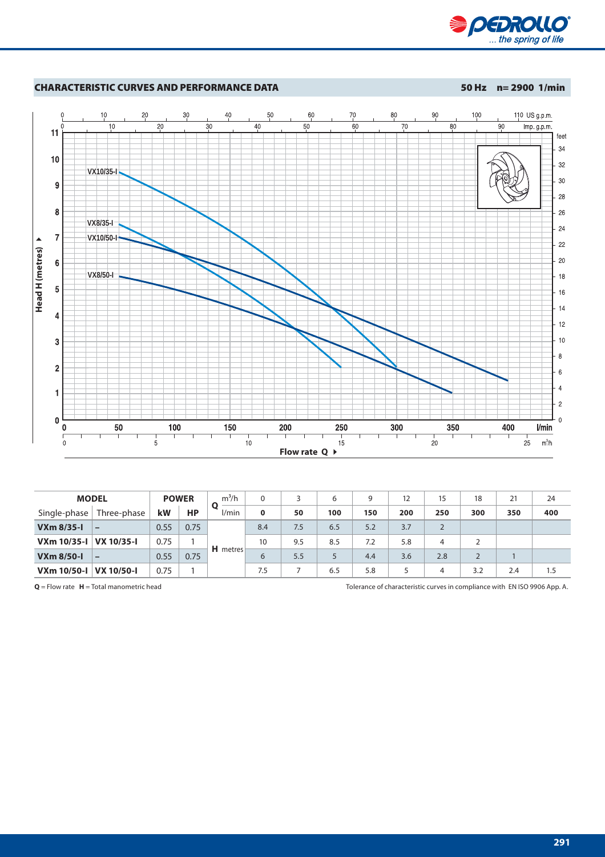



| <b>MODEL</b>      |             |      | $m^3/h$<br><b>POWER</b> |                 |     |     | 6   | a   | 12  | 15  | 18  | 21  | 24  |
|-------------------|-------------|------|-------------------------|-----------------|-----|-----|-----|-----|-----|-----|-----|-----|-----|
| Single-phase      | Three-phase | kW   | <b>HP</b>               | O<br>l/min      | 0   | 50  | 100 | 150 | 200 | 250 | 300 | 350 | 400 |
| $VXm$ 8/35-1      |             | 0.55 | 0.75                    |                 | 8.4 | 7.5 | 6.5 | 5.2 | 3.7 |     |     |     |     |
| VXm 10/35-I       | VX 10/35-I  | 0.75 |                         |                 | 10  | 9.5 | 8.5 | 7.2 | 5.8 | 4   |     |     |     |
| <b>VXm 8/50-1</b> |             | 0.55 | 0.75                    | <b>H</b> metres | 6   | 5.5 |     | 4.4 | 3.6 | 2.8 |     |     |     |
| VXm 10/50-I       | VX 10/50-I  | 0.75 |                         |                 | 7.5 |     | 6.5 | 5.8 |     |     | 3.2 | 2.4 |     |

**Q** = Flow rate **H** = Total manometric head Tolerance of characteristic curves in compliance with EN ISO 9906 App. A.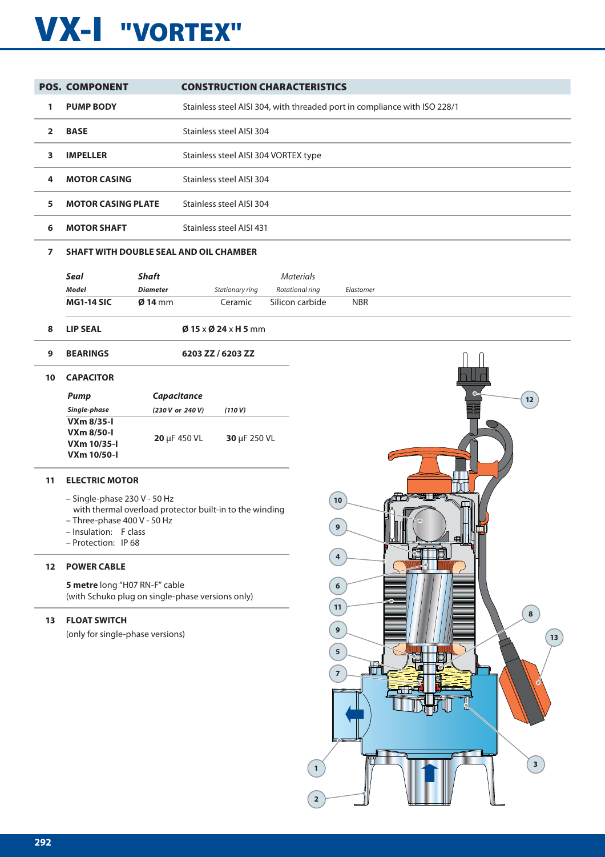# **VX-I "VORTEX"**

|                | <b>POS. COMPONENT</b>                                                              |                  |                                                                           | <b>CONSTRUCTION CHARACTERISTICS</b> |            |    |  |  |  |  |  |
|----------------|------------------------------------------------------------------------------------|------------------|---------------------------------------------------------------------------|-------------------------------------|------------|----|--|--|--|--|--|
| 1              | <b>PUMP BODY</b>                                                                   |                  | Stainless steel AISI 304, with threaded port in compliance with ISO 228/1 |                                     |            |    |  |  |  |  |  |
| 2              | <b>BASE</b>                                                                        |                  | Stainless steel AISI 304                                                  |                                     |            |    |  |  |  |  |  |
| 3              | <b>IMPELLER</b>                                                                    |                  | Stainless steel AISI 304 VORTEX type                                      |                                     |            |    |  |  |  |  |  |
| 4              | <b>MOTOR CASING</b>                                                                |                  | Stainless steel AISI 304                                                  |                                     |            |    |  |  |  |  |  |
| 5              | <b>MOTOR CASING PLATE</b>                                                          |                  | Stainless steel AISI 304                                                  |                                     |            |    |  |  |  |  |  |
| 6              | <b>MOTOR SHAFT</b>                                                                 |                  | Stainless steel AISI 431                                                  |                                     |            |    |  |  |  |  |  |
| $\overline{ }$ | <b>SHAFT WITH DOUBLE SEAL AND OIL CHAMBER</b>                                      |                  |                                                                           |                                     |            |    |  |  |  |  |  |
|                | <b>Seal</b>                                                                        | <b>Shaft</b>     |                                                                           | <b>Materials</b>                    |            |    |  |  |  |  |  |
|                | <b>Model</b>                                                                       | <b>Diameter</b>  | Stationary ring                                                           | Rotational ring                     | Elastomer  |    |  |  |  |  |  |
|                | <b>MG1-14 SIC</b>                                                                  | $Ø$ 14 mm        | Ceramic                                                                   | Silicon carbide                     | <b>NBR</b> |    |  |  |  |  |  |
| 8              | <b>LIP SEAL</b>                                                                    |                  | $\emptyset$ 15 x $\emptyset$ 24 x H 5 mm                                  |                                     |            |    |  |  |  |  |  |
| 9              | <b>BEARINGS</b>                                                                    |                  | 6203 ZZ / 6203 ZZ                                                         |                                     |            |    |  |  |  |  |  |
| 10             | <b>CAPACITOR</b>                                                                   |                  |                                                                           |                                     |            |    |  |  |  |  |  |
|                | <b>Pump</b>                                                                        | Capacitance      |                                                                           |                                     |            | 12 |  |  |  |  |  |
|                | Single-phase                                                                       | (230 V or 240 V) | (110 V)                                                                   |                                     |            |    |  |  |  |  |  |
|                | <b>VXm 8/35-1</b><br><b>VXm 8/50-1</b><br><b>VXm 10/35-1</b><br><b>VXm 10/50-I</b> | 20 µF 450 VL     | 30 µF 250 VL                                                              |                                     |            |    |  |  |  |  |  |
| 11             | <b>ELECTRIC MOTOR</b>                                                              |                  |                                                                           |                                     |            |    |  |  |  |  |  |

- Single-phase 230 V 50 Hz
- with thermal overload protector built-in to the winding
- Three-phase 400 V 50 Hz
- Insulation: F class
- Protection: IP 68

### **12 POWER CABLE**

**5 metre** long "H07 RN-F" cable (with Schuko plug on single-phase versions only)

### **13 FLOAT SWITCH**

(only for single-phase versions)